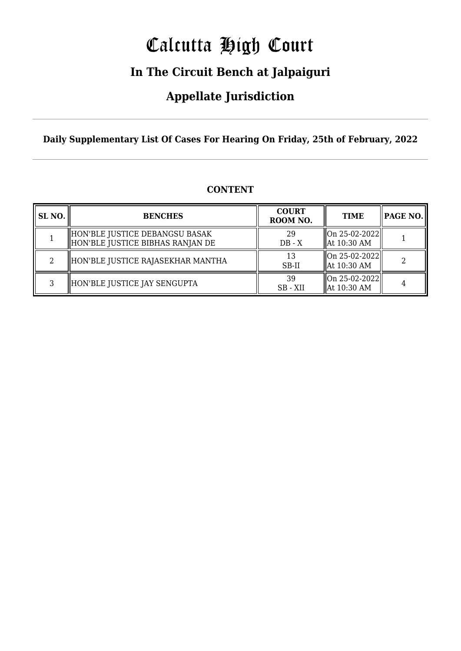# Calcutta High Court

### **In The Circuit Bench at Jalpaiguri**

### **Appellate Jurisdiction**

**Daily Supplementary List Of Cases For Hearing On Friday, 25th of February, 2022**

| SL <sub>NO.</sub> | <b>BENCHES</b>                                                     | <b>COURT</b><br>ROOM NO. | <b>TIME</b>                                                             |  |
|-------------------|--------------------------------------------------------------------|--------------------------|-------------------------------------------------------------------------|--|
|                   | HON'BLE JUSTICE DEBANGSU BASAK<br>HON'BLE JUSTICE BIBHAS RANJAN DE | 29<br>$DB - X$           | $\ $ On 25-02-2022 $\ $<br>$\parallel$ At 10:30 AM                      |  |
| 2                 | HON'BLE JUSTICE RAJASEKHAR MANTHA                                  | 13<br>SB-II              | $\left\  \text{On } 25 - 02 - 2022 \right\ $<br>$\parallel$ At 10:30 AM |  |
| C.                | HON'BLE JUSTICE JAY SENGUPTA                                       | 39<br>SB - XII           | $\ $ On 25-02-2022 $\ $<br>  At 10:30 AM                                |  |

### **CONTENT**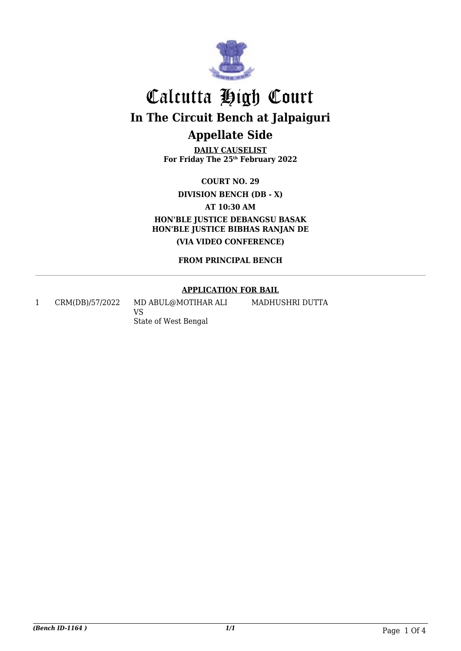

## Calcutta High Court **In The Circuit Bench at Jalpaiguri Appellate Side**

**DAILY CAUSELIST For Friday The 25th February 2022**

**COURT NO. 29**

**DIVISION BENCH (DB - X)**

**AT 10:30 AM**

**HON'BLE JUSTICE DEBANGSU BASAK HON'BLE JUSTICE BIBHAS RANJAN DE (VIA VIDEO CONFERENCE)**

**FROM PRINCIPAL BENCH**

### **APPLICATION FOR BAIL**

MADHUSHRI DUTTA

1 CRM(DB)/57/2022 MD ABUL@MOTIHAR ALI

VS State of West Bengal

*(Bench ID-1164 ) 1/1* Page 1 Of 4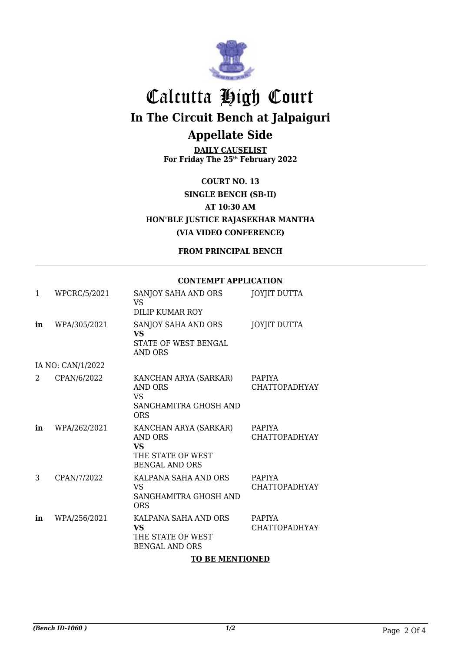

## Calcutta High Court **In The Circuit Bench at Jalpaiguri Appellate Side**

**DAILY CAUSELIST For Friday The 25th February 2022**

**COURT NO. 13 SINGLE BENCH (SB-II) AT 10:30 AM HON'BLE JUSTICE RAJASEKHAR MANTHA (VIA VIDEO CONFERENCE)**

**FROM PRINCIPAL BENCH**

#### **CONTEMPT APPLICATION**

| 1  | WPCRC/5/2021      | SANJOY SAHA AND ORS<br><b>VS</b><br><b>DILIP KUMAR ROY</b>                                         | <b>JOYJIT DUTTA</b>                   |
|----|-------------------|----------------------------------------------------------------------------------------------------|---------------------------------------|
| in | WPA/305/2021      | SANJOY SAHA AND ORS<br><b>VS</b><br><b>STATE OF WEST BENGAL</b><br><b>AND ORS</b>                  | <b>JOYJIT DUTTA</b>                   |
|    | IA NO: CAN/1/2022 |                                                                                                    |                                       |
| 2. | CPAN/6/2022       | KANCHAN ARYA (SARKAR)<br>AND ORS<br><b>VS</b><br>SANGHAMITRA GHOSH AND<br><b>ORS</b>               | <b>PAPIYA</b><br><b>CHATTOPADHYAY</b> |
| in | WPA/262/2021      | KANCHAN ARYA (SARKAR)<br><b>AND ORS</b><br><b>VS</b><br>THE STATE OF WEST<br><b>BENGAL AND ORS</b> | <b>PAPIYA</b><br><b>CHATTOPADHYAY</b> |
| 3  | CPAN/7/2022       | KALPANA SAHA AND ORS<br><b>VS</b><br>SANGHAMITRA GHOSH AND<br><b>ORS</b>                           | <b>PAPIYA</b><br><b>CHATTOPADHYAY</b> |
| in | WPA/256/2021      | KALPANA SAHA AND ORS<br><b>VS</b><br>THE STATE OF WEST<br><b>BENGAL AND ORS</b>                    | <b>PAPIYA</b><br><b>CHATTOPADHYAY</b> |

#### **TO BE MENTIONED**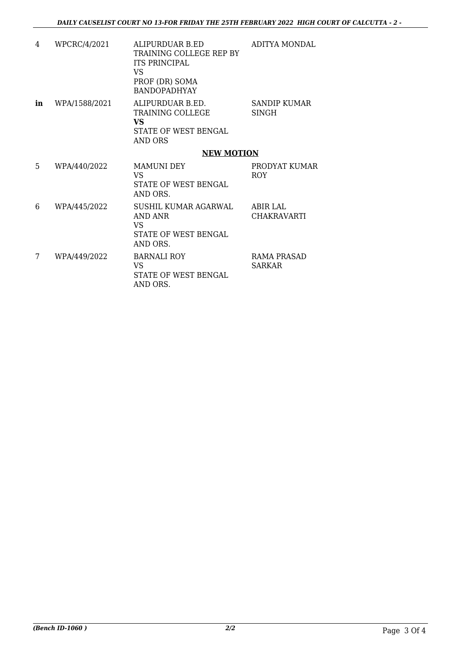| 4  | WPCRC/4/2021  | ALIPURDUAR B.ED<br>TRAINING COLLEGE REP BY<br><b>ITS PRINCIPAL</b><br>VS.<br>PROF (DR) SOMA<br><b>BANDOPADHYAY</b> | ADITYA MONDAL                         |  |
|----|---------------|--------------------------------------------------------------------------------------------------------------------|---------------------------------------|--|
| in | WPA/1588/2021 | ALIPURDUAR B.ED.<br>TRAINING COLLEGE<br><b>VS</b><br><b>STATE OF WEST BENGAL</b><br><b>AND ORS</b>                 | SANDIP KUMAR<br><b>SINGH</b>          |  |
|    |               | <b>NEW MOTION</b>                                                                                                  |                                       |  |
| 5  | WPA/440/2022  | <b>MAMUNI DEY</b><br>VS<br><b>STATE OF WEST BENGAL</b><br>AND ORS.                                                 | PRODYAT KUMAR<br>ROY.                 |  |
| 6  | WPA/445/2022  | SUSHIL KUMAR AGARWAL<br>AND ANR<br><b>VS</b><br>STATE OF WEST BENGAL<br>AND ORS.                                   | <b>ABIR LAL</b><br><b>CHAKRAVARTI</b> |  |
| 7  | WPA/449/2022  | <b>BARNALI ROY</b><br>VS.<br><b>STATE OF WEST BENGAL</b><br>AND ORS.                                               | RAMA PRASAD<br><b>SARKAR</b>          |  |